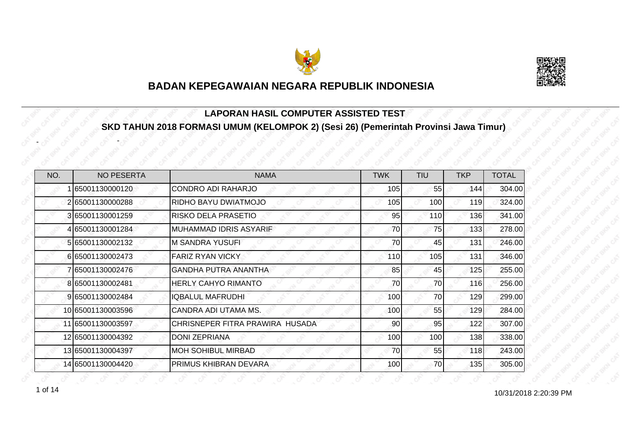



#### **LAPORAN HASIL COMPUTER ASSISTED TEST SKD TAHUN 2018 FORMASI UMUM (KELOMPOK 2) (Sesi 26) (Pemerintah Provinsi Jawa Timur)**

| NO. | <b>NO PESERTA</b> | <b>NAMA</b>                     | <b>TWK</b> | <b>TIU</b> | <b>TKP</b> | <b>TOTAL</b> |
|-----|-------------------|---------------------------------|------------|------------|------------|--------------|
|     | 65001130000120    | CONDRO ADI RAHARJO              | 105        | 55         | 144        | 304.00       |
|     | 265001130000288   | RIDHO BAYU DWIATMOJO            | 105        | 100        | 119        | 324.00       |
|     | 3 65001130001259  | <b>RISKO DELA PRASETIO</b>      | 95         | 110        | 136        | 341.00       |
|     | 4 65001130001284  | MUHAMMAD IDRIS ASYARIF          | 70         | 75         | 133        | 278.00       |
|     | 5 65001130002132  | <b>M SANDRA YUSUFI</b>          | 70         | 45         | 131        | 246.00       |
|     | 665001130002473   | <b>FARIZ RYAN VICKY</b>         | 110        | 105        | 131        | 346.00       |
|     | 7 65001130002476  | <b>GANDHA PUTRA ANANTHA</b>     | 85         | 45         | 125        | 255.00       |
|     | 8 65001130002481  | <b>HERLY CAHYO RIMANTO</b>      | 70         | 70         | 116        | 256.00       |
|     | 9 65001130002484  | IQBALUL MAFRUDHI                | 100        | 70         | 129        | 299.00       |
|     | 10 65001130003596 | CANDRA ADI UTAMA MS.            | 100        | 55         | 129        | 284.00       |
|     | 11 65001130003597 | CHRISNEPER FITRA PRAWIRA HUSADA | 90         | 95         | 122        | 307.00       |
|     | 12 65001130004392 | <b>DONI ZEPRIANA</b>            | 100        | 100        | 138        | 338.00       |
|     | 13 65001130004397 | <b>MOH SOHIBUL MIRBAD</b>       | 70         | 55         | 118        | 243.00       |
|     | 14 65001130004420 | <b>PRIMUS KHIBRAN DEVARA</b>    | 100        | 70         | 135        | 305.00       |

 $1 \text{ of } 14$   $10/31/2018$   $2:20:39$  PM

-

-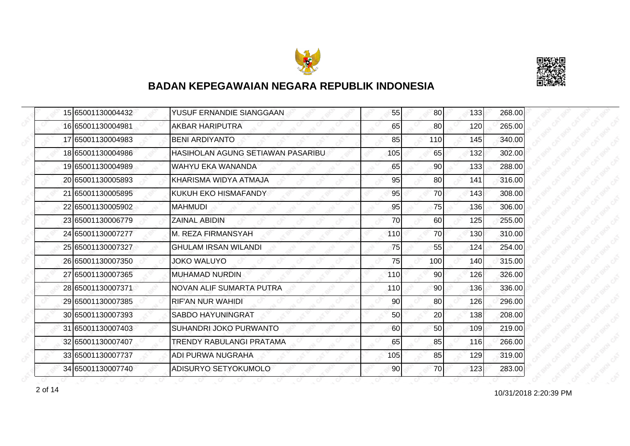



|  | 15 65001130004432 | YUSUF ERNANDIE SIANGGAAN          | 55  | 80 <sup>1</sup> | 133 | 268.00 |
|--|-------------------|-----------------------------------|-----|-----------------|-----|--------|
|  | 16 65001130004981 | AKBAR HARIPUTRA                   | 65  | 80              | 120 | 265.00 |
|  | 17 65001130004983 | <b>BENI ARDIYANTO</b>             | 85  | 110             | 145 | 340.00 |
|  | 18 65001130004986 | HASIHOLAN AGUNG SETIAWAN PASARIBU | 105 | 65              | 132 | 302.00 |
|  | 19 65001130004989 | WAHYU EKA WANANDA                 | 65  | 90              | 133 | 288.00 |
|  | 20 65001130005893 | KHARISMA WIDYA ATMAJA             | 95  | 80              | 141 | 316.00 |
|  | 21 65001130005895 | KUKUH EKO HISMAFANDY              | 95  | 70I             | 143 | 308.00 |
|  | 22 65001130005902 | <b>MAHMUDI</b>                    | 95  | 75              | 136 | 306.00 |
|  | 23 65001130006779 | <b>ZAINAL ABIDIN</b>              | 70  | 60              | 125 | 255.00 |
|  | 24 65001130007277 | M. REZA FIRMANSYAH                | 110 | 70I             | 130 | 310.00 |
|  | 25 65001130007327 | <b>GHULAM IRSAN WILANDI</b>       | 75  | 55              | 124 | 254.00 |
|  | 26 65001130007350 | <b>JOKO WALUYO</b>                | 75  | 100             | 140 | 315.00 |
|  | 27 65001130007365 | <b>MUHAMAD NURDIN</b>             | 110 | 90 l            | 126 | 326.00 |
|  | 28 65001130007371 | NOVAN ALIF SUMARTA PUTRA          | 110 | 90              | 136 | 336.00 |
|  | 29 65001130007385 | RIF'AN NUR WAHIDI                 | 90  | 80              | 126 | 296.00 |
|  | 30 65001130007393 | <b>SABDO HAYUNINGRAT</b>          | 50  | 20              | 138 | 208.00 |
|  | 31 65001130007403 | SUHANDRI JOKO PURWANTO            | 60  | 50              | 109 | 219.00 |
|  | 32165001130007407 | TRENDY RABULANGI PRATAMA          | 65  | 85              | 116 | 266.00 |
|  | 33 65001130007737 | ADI PURWA NUGRAHA                 | 105 | 85              | 129 | 319.00 |
|  | 34 65001130007740 | ADISURYO SETYOKUMOLO              | 90  | 70I             | 123 | 283.00 |

10/31/2018 2:20:39 PM 2 of 14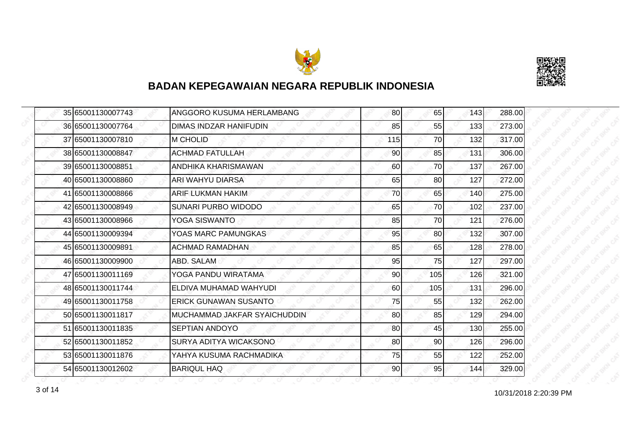



|  | 35 65001130007743 | ANGGORO KUSUMA HERLAMBANG     | 80  | 65  | 143 | 288.00 |
|--|-------------------|-------------------------------|-----|-----|-----|--------|
|  | 36 65001130007764 | <b>DIMAS INDZAR HANIFUDIN</b> | 85  | 55  | 133 | 273.00 |
|  | 37 65001130007810 | <b>M CHOLID</b>               | 115 | 70  | 132 | 317.00 |
|  | 38 65001130008847 | <b>ACHMAD FATULLAH</b>        | 90  | 85  | 131 | 306.00 |
|  | 39 65001130008851 | ANDHIKA KHARISMAWAN           | 60  | 70  | 137 | 267.00 |
|  | 40 65001130008860 | ARI WAHYU DIARSA              | 65  | 80  | 127 | 272.00 |
|  | 41 65001130008866 | <b>ARIF LUKMAN HAKIM</b>      | 70  | 65  | 140 | 275.00 |
|  | 42 65001130008949 | SUNARI PURBO WIDODO           | 65  | 70  | 102 | 237.00 |
|  | 43 65001130008966 | <b>YOGA SISWANTO</b>          | 85  | 70  | 121 | 276.00 |
|  | 44 65001130009394 | YOAS MARC PAMUNGKAS           | 95  | 80  | 132 | 307.00 |
|  | 45 65001130009891 | <b>ACHMAD RAMADHAN</b>        | 85  | 65  | 128 | 278.00 |
|  | 46 65001130009900 | ABD. SALAM                    | 95  | 75  | 127 | 297.00 |
|  | 47 65001130011169 | YOGA PANDU WIRATAMA           | 90  | 105 | 126 | 321.00 |
|  | 48 65001130011744 | ELDIVA MUHAMAD WAHYUDI        | 60  | 105 | 131 | 296.00 |
|  | 49 65001130011758 | <b>ERICK GUNAWAN SUSANTO</b>  | 75  | 55  | 132 | 262.00 |
|  | 50 65001130011817 | MUCHAMMAD JAKFAR SYAICHUDDIN  | 80  | 85  | 129 | 294.00 |
|  | 51 65001130011835 | <b>SEPTIAN ANDOYO</b>         | 80  | 45  | 130 | 255.00 |
|  | 52165001130011852 | SURYA ADITYA WICAKSONO        | 80  | 90  | 126 | 296.00 |
|  | 53 65001130011876 | YAHYA KUSUMA RACHMADIKA       | 75  | 55  | 122 | 252.00 |
|  | 54 65001130012602 | <b>BARIQUL HAQ</b>            | 90  | 95  | 144 | 329.00 |

10/31/2018 2:20:39 PM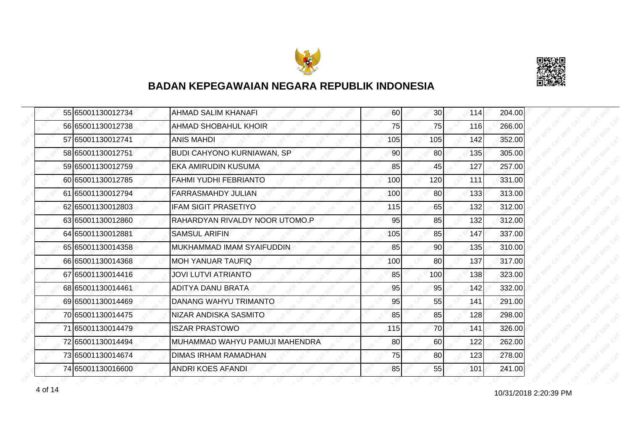



|  | 55 65001130012734 | AHMAD SALIM KHANAFI               | 60  | 30 <sub>l</sub> | 114 | 204.00 |
|--|-------------------|-----------------------------------|-----|-----------------|-----|--------|
|  | 56 65001130012738 | <b>AHMAD SHOBAHUL KHOIR</b>       | 75  | 75              | 116 | 266.00 |
|  | 57 65001130012741 | <b>ANIS MAHDI</b>                 | 105 | 105             | 142 | 352.00 |
|  | 58 65001130012751 | <b>BUDI CAHYONO KURNIAWAN, SP</b> | 90  | 80              | 135 | 305.00 |
|  | 59 65001130012759 | EKA AMIRUDIN KUSUMA               | 85  | 45              | 127 | 257.00 |
|  | 60 65001130012785 | <b>FAHMI YUDHI FEBRIANTO</b>      | 100 | 120             | 111 | 331.00 |
|  | 61 65001130012794 | <b>FARRASMAHDY JULIAN</b>         | 100 | 80 <sup>1</sup> | 133 | 313.00 |
|  | 62 65001130012803 | <b>IFAM SIGIT PRASETIYO</b>       | 115 | 65              | 132 | 312.00 |
|  | 63 65001130012860 | RAHARDYAN RIVALDY NOOR UTOMO.P    | 95  | 85              | 132 | 312.00 |
|  | 64 65001130012881 | <b>SAMSUL ARIFIN</b>              | 105 | 85              | 147 | 337.00 |
|  | 65 65001130014358 | MUKHAMMAD IMAM SYAIFUDDIN         | 85  | 90              | 135 | 310.00 |
|  | 66 65001130014368 | <b>MOH YANUAR TAUFIQ</b>          | 100 | 80              | 137 | 317.00 |
|  | 67 65001130014416 | <b>JOVI LUTVI ATRIANTO</b>        | 85  | 100             | 138 | 323.00 |
|  | 68 65001130014461 | ADITYA DANU BRATA                 | 95  | 95              | 142 | 332.00 |
|  | 69 65001130014469 | DANANG WAHYU TRIMANTO             | 95  | 55              | 141 | 291.00 |
|  | 70 65001130014475 | NIZAR ANDISKA SASMITO             | 85  | 85              | 128 | 298.00 |
|  | 71 65001130014479 | <b>ISZAR PRASTOWO</b>             | 115 | 70              | 141 | 326.00 |
|  | 72 65001130014494 | MUHAMMAD WAHYU PAMUJI MAHENDRA    | 80  | 60              | 122 | 262.00 |
|  | 73 65001130014674 | <b>DIMAS IRHAM RAMADHAN</b>       | 75  | 80              | 123 | 278.00 |
|  | 74 65001130016600 | ANDRI KOES AFANDI                 | 85  | 55              | 101 | 241.00 |

10/31/2018 2:20:39 PM 4 of 14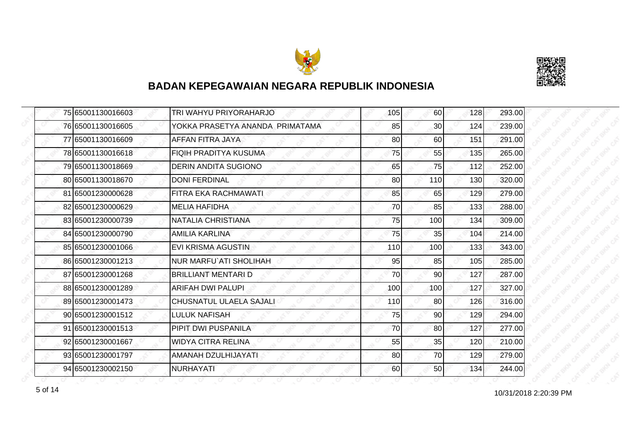



|  | 75 65001130016603 | TRI WAHYU PRIYORAHARJO          | 105 | <b>60</b>       | 128 | 293.00 |
|--|-------------------|---------------------------------|-----|-----------------|-----|--------|
|  | 76 65001130016605 | YOKKA PRASETYA ANANDA PRIMATAMA | 85  | 30 <sub>0</sub> | 124 | 239.00 |
|  | 77 65001130016609 | AFFAN FITRA JAYA                | 80  | 60              | 151 | 291.00 |
|  | 78 65001130016618 | <b>FIQIH PRADITYA KUSUMA</b>    | 75  | 55              | 135 | 265.00 |
|  | 79 65001130018669 | <b>DERIN ANDITA SUGIONO</b>     | 65  | 75              | 112 | 252.00 |
|  | 80 65001130018670 | <b>DONI FERDINAL</b>            | 80  | 110             | 130 | 320.00 |
|  | 81 65001230000628 | FITRA EKA RACHMAWATI            | 85  | 65              | 129 | 279.00 |
|  | 82 65001230000629 | <b>MELIA HAFIDHA</b>            | 70  | 85              | 133 | 288.00 |
|  | 83 65001230000739 | NATALIA CHRISTIANA              | 75  | 100             | 134 | 309.00 |
|  | 84 65001230000790 | <b>AMILIA KARLINA</b>           | 75  | 35              | 104 | 214.00 |
|  | 85 65001230001066 | EVI KRISMA AGUSTIN              | 110 | 100             | 133 | 343.00 |
|  | 86 65001230001213 | NUR MARFU`ATI SHOLIHAH          | 95  | 85              | 105 | 285.00 |
|  | 87 65001230001268 | <b>BRILLIANT MENTARI D</b>      | 70  | 90              | 127 | 287.00 |
|  | 88 65001230001289 | <b>ARIFAH DWI PALUPI</b>        | 100 | 100             | 127 | 327.00 |
|  | 89 65001230001473 | CHUSNATUL ULAELA SAJALI         | 110 | 80              | 126 | 316.00 |
|  | 90 65001230001512 | <b>LULUK NAFISAH</b>            | 75  | 90 <sub>0</sub> | 129 | 294.00 |
|  | 91 65001230001513 | PIPIT DWI PUSPANILA             | 70  | 80              | 127 | 277.00 |
|  | 92 65001230001667 | <b>WIDYA CITRA RELINA</b>       | 55  | 35              | 120 | 210.00 |
|  | 93 65001230001797 | AMANAH DZULHIJAYATI             | 80  | 70              | 129 | 279.00 |
|  | 94 65001230002150 | <b>NURHAYATI</b>                | 60  | 50 <sub>l</sub> | 134 | 244.00 |

10/31/2018 2:20:39 PM 5 of 14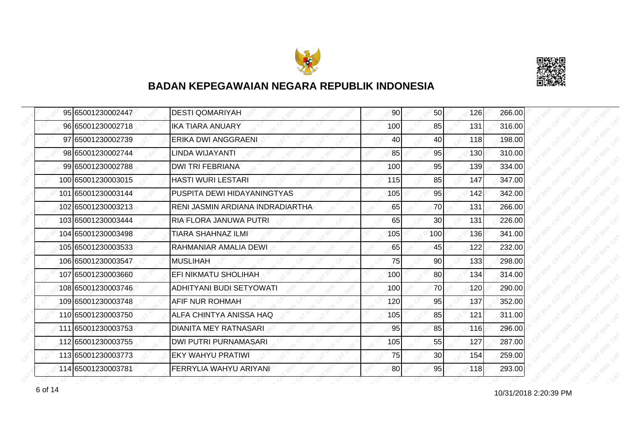



| 95 65001230002447  | <b>DESTI QOMARIYAH</b>           | 90  | 50 <sub>l</sub> | 126 | 266.00 |
|--------------------|----------------------------------|-----|-----------------|-----|--------|
| 96 65001230002718  | <b>IKA TIARA ANUARY</b>          | 100 | 85              | 131 | 316.00 |
| 97 65001230002739  | ERIKA DWI ANGGRAENI.             | 40  | 40              | 118 | 198.00 |
| 98 65001230002744  | LINDA WIJAYANTI                  | 85  | 95              | 130 | 310.00 |
| 99 65001230002788  | <b>DWI TRI FEBRIANA</b>          | 100 | 95              | 139 | 334.00 |
| 100 65001230003015 | HASTI WURI LESTARI               | 115 | 85              | 147 | 347.00 |
| 101 65001230003144 | PUSPITA DEWI HIDAYANINGTYAS      | 105 | 95              | 142 | 342.00 |
| 102 65001230003213 | RENI JASMIN ARDIANA INDRADIARTHA | 65  | 70              | 131 | 266.00 |
| 103 65001230003444 | RIA FLORA JANUWA PUTRI           | 65  | 30              | 131 | 226.00 |
| 104 65001230003498 | TIARA SHAHNAZ ILMI               | 105 | 100             | 136 | 341.00 |
| 105 65001230003533 | RAHMANIAR AMALIA DEWI            | 65  | 45              | 122 | 232.00 |
| 106 65001230003547 | <b>MUSLIHAH</b>                  | 75  | 90              | 133 | 298.00 |
| 107 65001230003660 | EFI NIKMATU SHOLIHAH             | 100 | 80              | 134 | 314.00 |
| 108 65001230003746 | ADHITYANI BUDI SETYOWATI         | 100 | 70              | 120 | 290.00 |
| 109 65001230003748 | AFIF NUR ROHMAH                  | 120 | 95              | 137 | 352.00 |
| 110 65001230003750 | ALFA CHINTYA ANISSA HAQ          | 105 | 85              | 121 | 311.00 |
| 111 65001230003753 | DIANITA MEY RATNASARI            | 95  | 85              | 116 | 296.00 |
| 112 65001230003755 | <b>DWI PUTRI PURNAMASARI</b>     | 105 | 55              | 127 | 287.00 |
| 113 65001230003773 | <b>EKY WAHYU PRATIWI</b>         | 75  | 30              | 154 | 259.00 |
| 114 65001230003781 | FERRYLIA WAHYU ARIYANI           | 80  | 95              | 118 | 293.00 |

10/31/2018 2:20:39 PM 6 of 14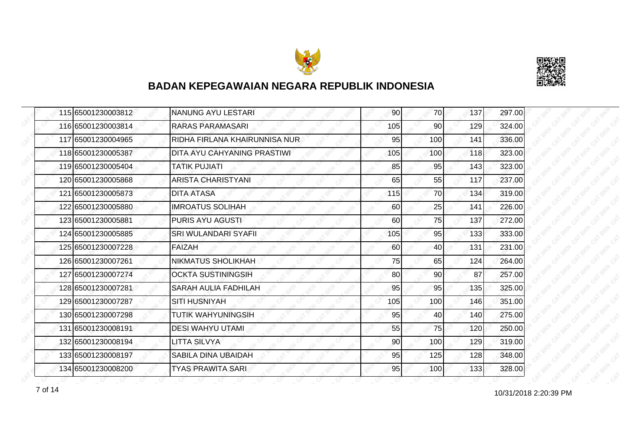



| 115 65001230003812 | NANUNG AYU LESTARI            | 90  | 70              | 137 | 297.00 |
|--------------------|-------------------------------|-----|-----------------|-----|--------|
| 116 65001230003814 | <b>RARAS PARAMASARI</b>       | 105 | 90              | 129 | 324.00 |
| 117 65001230004965 | RIDHA FIRLANA KHAIRUNNISA NUR | 95  | 100             | 141 | 336.00 |
| 118 65001230005387 | DITA AYU CAHYANING PRASTIWI   | 105 | 100             | 118 | 323.00 |
| 119 65001230005404 | <b>TATIK PUJIATI</b>          | 85  | 95              | 143 | 323.00 |
| 120 65001230005868 | ARISTA CHARISTYANI            | 65  | 55              | 117 | 237.00 |
| 121 65001230005873 | <b>DITA ATASA</b>             | 115 | 70I             | 134 | 319.00 |
| 122 65001230005880 | <b>IMROATUS SOLIHAH</b>       | 60  | 25              | 141 | 226.00 |
| 123 65001230005881 | <b>PURIS AYU AGUSTI</b>       | 60  | 75              | 137 | 272.00 |
| 124 65001230005885 | <b>SRI WULANDARI SYAFII</b>   | 105 | 95              | 133 | 333.00 |
| 125 65001230007228 | <b>FAIZAH</b>                 | 60  | 40              | 131 | 231.00 |
| 126165001230007261 | <b>NIKMATUS SHOLIKHAH</b>     | 75  | 65              | 124 | 264.00 |
| 127 65001230007274 | <b>OCKTA SUSTININGSIH</b>     | 80  | 90 <sub>0</sub> | 87  | 257.00 |
| 128 65001230007281 | <b>SARAH AULIA FADHILAH</b>   | 95  | 95              | 135 | 325.00 |
| 129 65001230007287 | <b>SITI HUSNIYAH</b>          | 105 | 100             | 146 | 351.00 |
| 130 65001230007298 | <b>TUTIK WAHYUNINGSIH</b>     | 95  | 40              | 140 | 275.00 |
| 131 65001230008191 | <b>DESI WAHYU UTAMI</b>       | 55  | 75              | 120 | 250.00 |
| 132165001230008194 | <b>LITTA SILVYA</b>           | 90  | 100             | 129 | 319.00 |
| 133 65001230008197 | <b>SABILA DINA UBAIDAH</b>    | 95  | 125             | 128 | 348.00 |
| 134 65001230008200 | <b>TYAS PRAWITA SARI</b>      | 95  | 100             | 133 | 328.00 |

10/31/2018 2:20:39 PM 7 of 14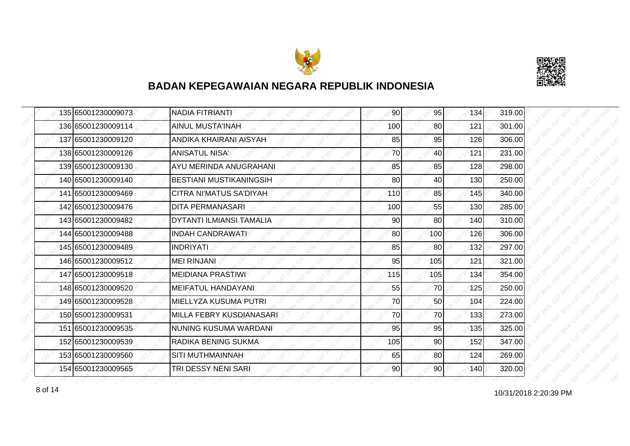



| 135 65001230009073 | <b>NADIA FITRIANTI</b>          | 90  | 95  | 134 | 319.00 |
|--------------------|---------------------------------|-----|-----|-----|--------|
| 136 65001230009114 | AINUL MUSTA'INAH                | 100 | 80  | 121 | 301.00 |
| 137 65001230009120 | <b>ANDIKA KHAIRANI AISYAH</b>   | 85  | 95  | 126 | 306.00 |
| 138 65001230009126 | <b>ANISATUL NISA'</b>           | 70  | 40  | 121 | 231.00 |
| 139165001230009130 | AYU MERINDA ANUGRAHANI          | 85  | 85  | 128 | 298.00 |
| 140 65001230009140 | BESTIANI MUSTIKANINGSIH         | 80  | 40  | 130 | 250.00 |
| 141 65001230009469 | ICITRA NI'MATUS SA'DIYAH        | 110 | 85  | 145 | 340.00 |
| 142 65001230009476 | <b>DITA PERMANASARI</b>         | 100 | 55  | 130 | 285.00 |
| 143 65001230009482 | <b>DYTANTI ILMIANSI TAMALIA</b> | 90  | 80  | 140 | 310.00 |
| 144 65001230009488 | <b>INDAH CANDRAWATI</b>         | 80  | 100 | 126 | 306.00 |
| 145 65001230009489 | <b>INDRIYATI</b>                | 85  | 80  | 132 | 297.00 |
| 146 65001230009512 | MEI RINJANI                     | 95  | 105 | 121 | 321.00 |
| 147 65001230009518 | <b>MEIDIANA PRASTIWI</b>        | 115 | 105 | 134 | 354.00 |
| 148 65001230009520 | <b>MEIFATUL HANDAYANI</b>       | 55  | 70  | 125 | 250.00 |
| 149 65001230009528 | MIELLYZA KUSUMA PUTRI           | 70  | 50  | 104 | 224.00 |
| 150 65001230009531 | <b>MILLA FEBRY KUSDIANASARI</b> | 70  | 70  | 133 | 273.00 |
| 151 65001230009535 | NUNING KUSUMA WARDANI           | 95  | 95  | 135 | 325.00 |
| 152 65001230009539 | RADIKA BENING SUKMA             | 105 | 90  | 152 | 347.00 |
| 153 65001230009560 | <b>SITI MUTHMAINNAH</b>         | 65  | 80  | 124 | 269.00 |
| 154 65001230009565 | TRI DESSY NENI SARI             | 90  | 90  | 140 | 320.00 |

10/31/2018 2:20:39 PM 8 of 14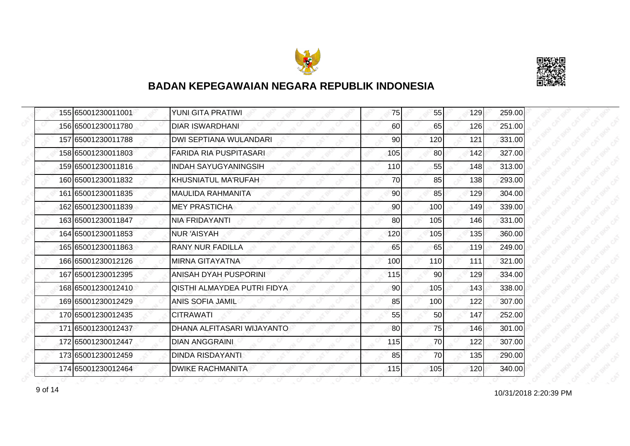



|  | 155 65001230011001 | <b>YUNI GITA PRATIWI</b>           | 75  | 55  | 129 | 259.00 |
|--|--------------------|------------------------------------|-----|-----|-----|--------|
|  | 156 65001230011780 | <b>DIAR ISWARDHANI</b>             | 60  | 65  | 126 | 251.00 |
|  | 157 65001230011788 | DWI SEPTIANA WULANDARI             | 90  | 120 | 121 | 331.00 |
|  | 158 65001230011803 | <b>FARIDA RIA PUSPITASARI</b>      | 105 | 80  | 142 | 327.00 |
|  | 159 65001230011816 | <b>INDAH SAYUGYANINGSIH</b>        | 110 | 55  | 148 | 313.00 |
|  | 160 65001230011832 | KHUSNIATUL MA'RUFAH                | 70  | 85  | 138 | 293.00 |
|  | 161 65001230011835 | <b>MAULIDA RAHMANITA</b>           | 90  | 85  | 129 | 304.00 |
|  | 162 65001230011839 | <b>MEY PRASTICHA</b>               | 90  | 100 | 149 | 339.00 |
|  | 163 65001230011847 | NIA FRIDAYANTI                     | 80  | 105 | 146 | 331.00 |
|  | 164 65001230011853 | <b>NUR 'AISYAH</b>                 | 120 | 105 | 135 | 360.00 |
|  | 165 65001230011863 | <b>RANY NUR FADILLA</b>            | 65  | 65  | 119 | 249.00 |
|  | 166 65001230012126 | <b>MIRNA GITAYATNA</b>             | 100 | 110 | 111 | 321.00 |
|  | 167 65001230012395 | ANISAH DYAH PUSPORINI              | 115 | 90  | 129 | 334.00 |
|  | 168 65001230012410 | <b>QISTHI ALMAYDEA PUTRI FIDYA</b> | 90  | 105 | 143 | 338.00 |
|  | 169 65001230012429 | <b>ANIS SOFIA JAMIL</b>            | 85  | 100 | 122 | 307.00 |
|  | 170 65001230012435 | <b>CITRAWATI</b>                   | 55  | 50  | 147 | 252.00 |
|  | 171 65001230012437 | DHANA ALFITASARI WIJAYANTO         | 80  | 75  | 146 | 301.00 |
|  | 172165001230012447 | DIAN ANGGRAINI                     | 115 | 70  | 122 | 307.00 |
|  | 173 65001230012459 | <b>DINDA RISDAYANTI</b>            | 85  | 70  | 135 | 290.00 |
|  | 174 65001230012464 | <b>DWIKE RACHMANITA</b>            | 115 | 105 | 120 | 340.00 |

10/31/2018 2:20:39 PM 9 of 14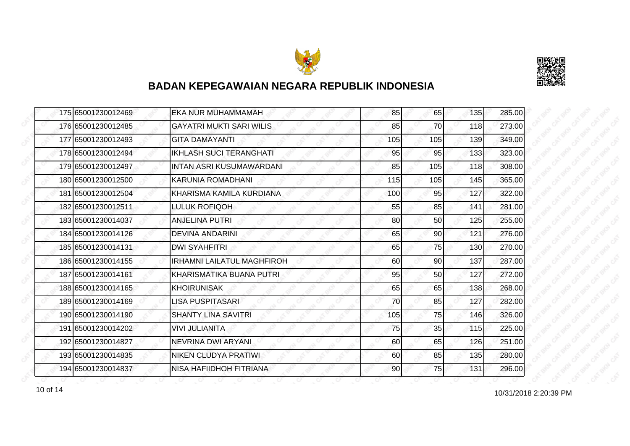



| 175 65001230012469 | EKA NUR MUHAMMAMAH                | 85  | 65  | 135 | 285.00 |
|--------------------|-----------------------------------|-----|-----|-----|--------|
| 176 65001230012485 | <b>GAYATRI MUKTI SARI WILIS</b>   | 85  | 70  | 118 | 273.00 |
| 177 65001230012493 | IGITA DAMAYANTI                   | 105 | 105 | 139 | 349.00 |
| 178 65001230012494 | <b>IKHLASH SUCI TERANGHATI</b>    | 95  | 95  | 133 | 323.00 |
| 179 65001230012497 | <b>INTAN ASRI KUSUMAWARDANI</b>   | 85  | 105 | 118 | 308.00 |
| 180 65001230012500 | IKARUNIA ROMADHANI                | 115 | 105 | 145 | 365.00 |
| 181 65001230012504 | KHARISMA KAMILA KURDIANA          | 100 | 95  | 127 | 322.00 |
| 182 65001230012511 | LULUK ROFIQOH                     | 55  | 85  | 141 | 281.00 |
| 183 65001230014037 | <b>ANJELINA PUTRI</b>             | 80  | 50  | 125 | 255.00 |
| 184 65001230014126 | <b>DEVINA ANDARINI</b>            | 65  | 90  | 121 | 276.00 |
| 185 65001230014131 | <b>DWI SYAHFITRI</b>              | 65  | 75  | 130 | 270.00 |
| 186 65001230014155 | <b>IRHAMNI LAILATUL MAGHFIROH</b> | 60  | 90  | 137 | 287.00 |
| 187 65001230014161 | KHARISMATIKA BUANA PUTRI          | 95  | 50  | 127 | 272.00 |
| 188 65001230014165 | <b>KHOIRUNISAK</b>                | 65  | 65  | 138 | 268.00 |
| 189 65001230014169 | <b>LISA PUSPITASARI</b>           | 70  | 85  | 127 | 282.00 |
| 190 65001230014190 | <b>SHANTY LINA SAVITRI</b>        | 105 | 75  | 146 | 326.00 |
| 191 65001230014202 | <b>VIVI JULIANITA</b>             | 75  | 35  | 115 | 225.00 |
| 192 65001230014827 | NEVRINA DWI ARYANI                | 60  | 65  | 126 | 251.00 |
| 193 65001230014835 | <b>NIKEN CLUDYA PRATIWI</b>       | 60  | 85  | 135 | 280.00 |
| 194 65001230014837 | <b>NISA HAFIIDHOH FITRIANA</b>    | 90  | 75  | 131 | 296.00 |

10 of 14 2:20:39 PM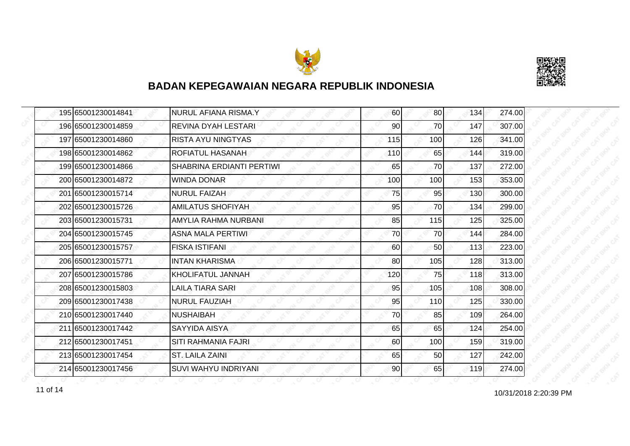



| 195 65001230014841 | NURUL AFIANA RISMA.Y        | 60  | 80  | 134 | 274.00 |
|--------------------|-----------------------------|-----|-----|-----|--------|
| 196 65001230014859 | REVINA DYAH LESTARI         | 90  | 70  | 147 | 307.00 |
| 197 65001230014860 | <b>RISTA AYU NINGTYAS</b>   | 115 | 100 | 126 | 341.00 |
| 198 65001230014862 | ROFIATUL HASANAH            | 110 | 65  | 144 | 319.00 |
| 199 65001230014866 | SHABRINA ERDIANTI PERTIWI   | 65  | 70  | 137 | 272.00 |
| 200 65001230014872 | <b>WINDA DONAR</b>          | 100 | 100 | 153 | 353.00 |
| 201 65001230015714 | <b>NURUL FAIZAH</b>         | 75  | 95  | 130 | 300.00 |
| 202 65001230015726 | <b>AMILATUS SHOFIYAH</b>    | 95  | 70  | 134 | 299.00 |
| 203165001230015731 | AMYLIA RAHMA NURBANI        | 85  | 115 | 125 | 325.00 |
| 204 65001230015745 | <b>ASNA MALA PERTIWI</b>    | 70  | 70  | 144 | 284.00 |
| 205 65001230015757 | <b>FISKA ISTIFANI</b>       | 60  | 50  | 113 | 223.00 |
| 206165001230015771 | <b>INTAN KHARISMA</b>       | 80  | 105 | 128 | 313.00 |
| 207 65001230015786 | <b>KHOLIFATUL JANNAH</b>    | 120 | 75  | 118 | 313.00 |
| 208 65001230015803 | <b>LAILA TIARA SARI</b>     | 95  | 105 | 108 | 308.00 |
| 209 65001230017438 | <b>NURUL FAUZIAH</b>        | 95  | 110 | 125 | 330.00 |
| 210 65001230017440 | <b>NUSHAIBAH</b>            | 70  | 85  | 109 | 264.00 |
| 211 65001230017442 | <b>SAYYIDA AISYA</b>        | 65  | 65  | 124 | 254.00 |
| 212165001230017451 | SITI RAHMANIA FAJRI         | 60  | 100 | 159 | 319.00 |
| 213 65001230017454 | <b>ST. LAILA ZAINI</b>      | 65  | 50  | 127 | 242.00 |
| 214 65001230017456 | <b>SUVI WAHYU INDRIYANI</b> | 90  | 65  | 119 | 274.00 |

11 of 14 2:20:39 PM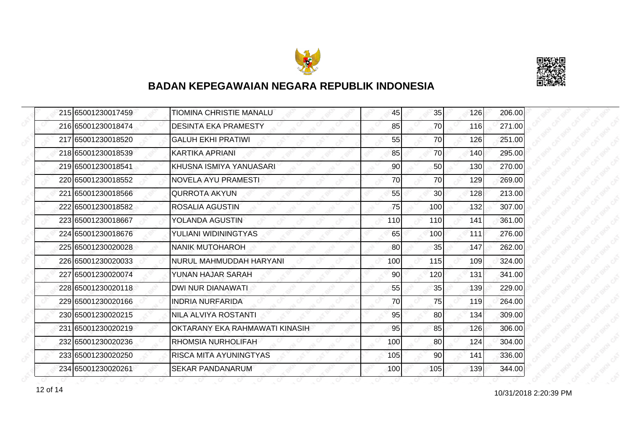



|  | 215 65001230017459 | TIOMINA CHRISTIE MANALU        | 45  | 35  | 126 | 206.00 |
|--|--------------------|--------------------------------|-----|-----|-----|--------|
|  | 216 65001230018474 | <b>DESINTA EKA PRAMESTY</b>    | 85  | 70  | 116 | 271.00 |
|  | 217 65001230018520 | <b>GALUH EKHI PRATIWI</b>      | 55  | 70  | 126 | 251.00 |
|  | 218 65001230018539 | <b>KARTIKA APRIANI</b>         | 85  | 70  | 140 | 295.00 |
|  | 219 65001230018541 | KHUSNA ISMIYA YANUASARI        | 90  | 50  | 130 | 270.00 |
|  | 220165001230018552 | NOVELA AYU PRAMESTI            | 70  | 70  | 129 | 269.00 |
|  | 221 65001230018566 | <b>QURROTA AKYUN</b>           | 55  | 30I | 128 | 213.00 |
|  | 222165001230018582 | ROSALIA AGUSTIN                | 75  | 100 | 132 | 307.00 |
|  | 223 65001230018667 | YOLANDA AGUSTIN                | 110 | 110 | 141 | 361.00 |
|  | 224 65001230018676 | YULIANI WIDININGTYAS           | 65  | 100 | 111 | 276.00 |
|  | 225 65001230020028 | <b>NANIK MUTOHAROH</b>         | 80  | 35  | 147 | 262.00 |
|  | 226 65001230020033 | NURUL MAHMUDDAH HARYANI        | 100 | 115 | 109 | 324.00 |
|  | 227 65001230020074 | YUNAN HAJAR SARAH              | 90  | 120 | 131 | 341.00 |
|  | 228 65001230020118 | DWI NUR DIANAWATI              | 55  | 35  | 139 | 229.00 |
|  | 229 65001230020166 | <b>INDRIA NURFARIDA</b>        | 70  | 75  | 119 | 264.00 |
|  | 230 65001230020215 | NILA ALVIYA ROSTANTI           | 95  | 80  | 134 | 309.00 |
|  | 231 65001230020219 | OKTARANY EKA RAHMAWATI KINASIH | 95  | 85  | 126 | 306.00 |
|  | 232165001230020236 | RHOMSIA NURHOLIFAH             | 100 | 80  | 124 | 304.00 |
|  | 233 65001230020250 | <b>RISCA MITA AYUNINGTYAS</b>  | 105 | 90  | 141 | 336.00 |
|  | 234 65001230020261 | <b>SEKAR PANDANARUM</b>        | 100 | 105 | 139 | 344.00 |

10/31/2018 2:20:39 PM 12 of 14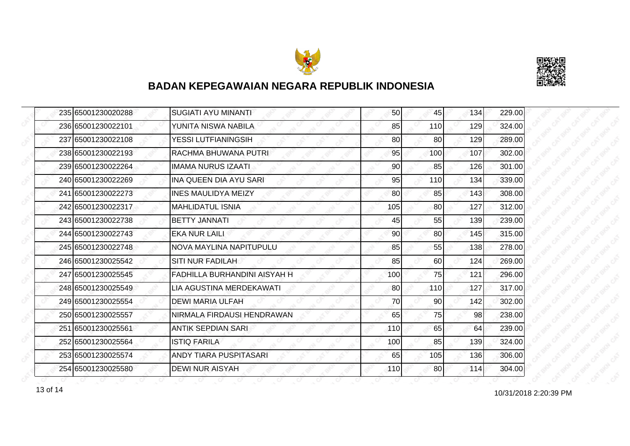



| 235 65001230020288 | <b>SUGIATI AYU MINANTI</b>          | 50  | 45        | 134 | 229.00 |
|--------------------|-------------------------------------|-----|-----------|-----|--------|
| 236 65001230022101 | YUNITA NISWA NABILA                 | 85  | 110       | 129 | 324.00 |
| 237165001230022108 | YESSI LUTFIANINGSIH                 | 80  | 80        | 129 | 289.00 |
| 238 65001230022193 | RACHMA BHUWANA PUTRI                | 95  | 100       | 107 | 302.00 |
| 239 65001230022264 | <b>IMAMA NURUS IZAATI</b>           | 90  | 85        | 126 | 301.00 |
| 240 65001230022269 | INA QUEEN DIA AYU SARI              | 95  | 110       | 134 | 339.00 |
| 241 65001230022273 | <b>INES MAULIDYA MEIZY</b>          | 80  | 85        | 143 | 308.00 |
| 242 65001230022317 | IMAHLIDATUL ISNIA                   | 105 | 80        | 127 | 312.00 |
| 243 65001230022738 | <b>BETTY JANNATI</b>                | 45  | 55        | 139 | 239.00 |
| 244 65001230022743 | <b>EKA NUR LAILI</b>                | 90  | 80I       | 145 | 315.00 |
| 245 65001230022748 | NOVA MAYLINA NAPITUPULU             | 85  | 55        | 138 | 278.00 |
| 246 65001230025542 | <b>SITI NUR FADILAH</b>             | 85  | 60        | 124 | 269.00 |
| 247 65001230025545 | <b>FADHILLA BURHANDINI AISYAH H</b> | 100 | 75        | 121 | 296.00 |
| 248 65001230025549 | LIA AGUSTINA MERDEKAWATI            | 80  | 110       | 127 | 317.00 |
| 249 65001230025554 | <b>DEWI MARIA ULFAH</b>             | 70  | 90        | 142 | 302.00 |
| 250 65001230025557 | NIRMALA FIRDAUSI HENDRAWAN          | 65  | 75        | 98  | 238.00 |
| 251 65001230025561 | <b>ANTIK SEPDIAN SARI</b>           | 110 | 65        | 64  | 239.00 |
| 252165001230025564 | ISTIQ FARILA                        | 100 | 85        | 139 | 324.00 |
| 253 65001230025574 | <b>ANDY TIARA PUSPITASARI</b>       | 65  | 105       | 136 | 306.00 |
| 254 65001230025580 | <b>DEWI NUR AISYAH</b>              | 110 | <b>80</b> | 114 | 304.00 |

13 of 14 **10/31/2018** 2:20:39 PM